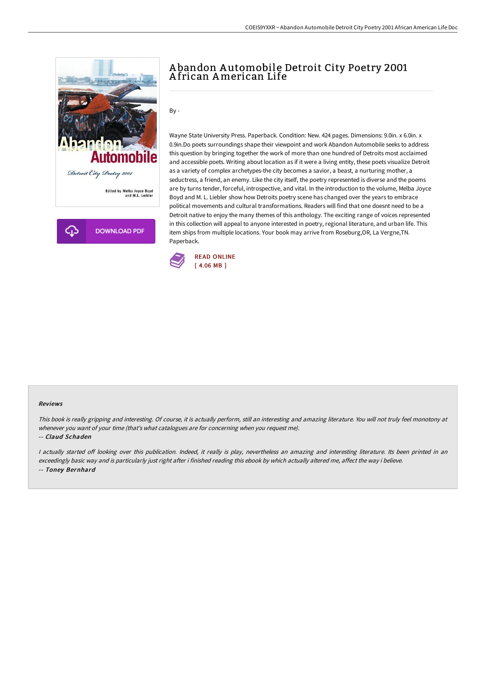



# A bandon A utomobile Detroit City Poetry 2001 A frican American Life

## By -

Wayne State University Press. Paperback. Condition: New. 424 pages. Dimensions: 9.0in. x 6.0in. x 0.9in.Do poets surroundings shape their viewpoint and work Abandon Automobile seeks to address this question by bringing together the work of more than one hundred of Detroits most acclaimed and accessible poets. Writing about location as if it were a living entity, these poets visualize Detroit as a variety of complex archetypes-the city becomes a savior, a beast, a nurturing mother, a seductress, a friend, an enemy. Like the city itself, the poetry represented is diverse and the poems are by turns tender, forceful, introspective, and vital. In the introduction to the volume, Melba Joyce Boyd and M. L. Liebler show how Detroits poetry scene has changed over the years to embrace political movements and cultural transformations. Readers will find that one doesnt need to be a Detroit native to enjoy the many themes of this anthology. The exciting range of voices represented in this collection will appeal to anyone interested in poetry, regional literature, and urban life. This item ships from multiple locations. Your book may arrive from Roseburg,OR, La Vergne,TN. Paperback.



#### Reviews

This book is really gripping and interesting. Of course, it is actually perform, still an interesting and amazing literature. You will not truly feel monotony at whenever you want of your time (that's what catalogues are for concerning when you request me).

### -- Claud Schaden

I actually started off looking over this publication. Indeed, it really is play, nevertheless an amazing and interesting literature. Its been printed in an exceedingly basic way and is particularly just right after i finished reading this ebook by which actually altered me, affect the way i believe. -- Toney Bernhard